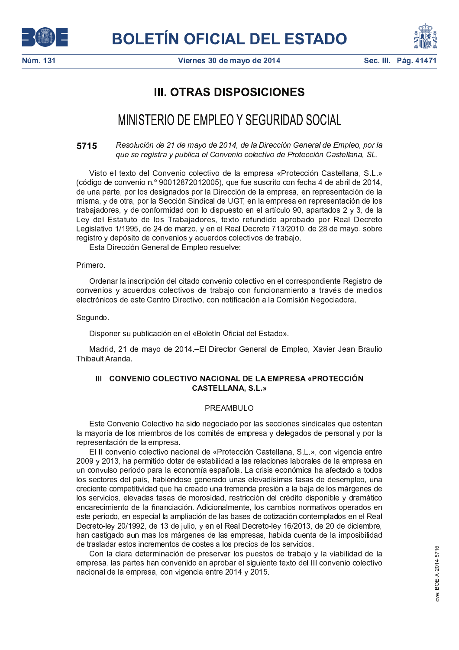





# **III. OTRAS DISPOSICIONES**

# MINISTERIO DE EMPLEO Y SEGURIDAD SOCIAL

Resolución de 21 de mayo de 2014, de la Dirección General de Empleo, por la 5715 que se registra y publica el Convenio colectivo de Protección Castellana, SL.

Visto el texto del Convenio colectivo de la empresa «Protección Castellana, S.L.» (código de convenio n.º 90012872012005), que fue suscrito con fecha 4 de abril de 2014. de una parte, por los designados por la Dirección de la empresa, en representación de la misma, y de otra, por la Sección Sindical de UGT, en la empresa en representación de los trabajadores, y de conformidad con lo dispuesto en el artículo 90, apartados 2 y 3, de la Ley del Estatuto de los Trabajadores, texto refundido aprobado por Real Decreto Legislativo 1/1995, de 24 de marzo, y en el Real Decreto 713/2010, de 28 de mayo, sobre registro y depósito de convenios y acuerdos colectivos de trabajo,

Esta Dirección General de Empleo resuelve:

# Primero.

Ordenar la inscripción del citado convenio colectivo en el correspondiente Registro de convenios y acuerdos colectivos de trabajo con funcionamiento a través de medios electrónicos de este Centro Directivo, con notificación a la Comisión Negociadora.

# Segundo.

Disponer su publicación en el «Boletín Oficial del Estado».

Madrid, 21 de mayo de 2014 - El Director General de Empleo, Xavier Jean Braulio Thibault Aranda

# III CONVENIO COLECTIVO NACIONAL DE LA EMPRESA «PROTECCIÓN **CASTELLANA, S.L.»**

# PREAMBULO

Este Convenio Colectivo ha sido negociado por las secciones sindicales que ostentan la mayoría de los miembros de los comités de empresa y delegados de personal y por la representación de la empresa.

El II convenio colectivo nacional de «Protección Castellana, S.L.», con vigencia entre 2009 y 2013, ha permitido dotar de estabilidad a las relaciones laborales de la empresa en un convulso periodo para la economía española. La crisis económica ha afectado a todos los sectores del país, habiéndose generado unas elevadísimas tasas de desempleo, una creciente competitividad que ha creado una tremenda presión a la baja de los márgenes de los servicios, elevadas tasas de morosidad, restricción del crédito disponible y dramático encarecimiento de la financiación. Adicionalmente, los cambios normativos operados en este periodo, en especial la ampliación de las bases de cotización contemplados en el Real Decreto-ley 20/1992, de 13 de julio, y en el Real Decreto-ley 16/2013, de 20 de diciembre, han castigado aun mas los márgenes de las empresas, habida cuenta de la imposibilidad de trasladar estos incrementos de costes a los precios de los servicios.

Con la clara determinación de preservar los puestos de trabajo y la viabilidad de la empresa, las partes han convenido en aprobar el siguiente texto del III convenio colectivo nacional de la empresa, con vigencia entre 2014 y 2015.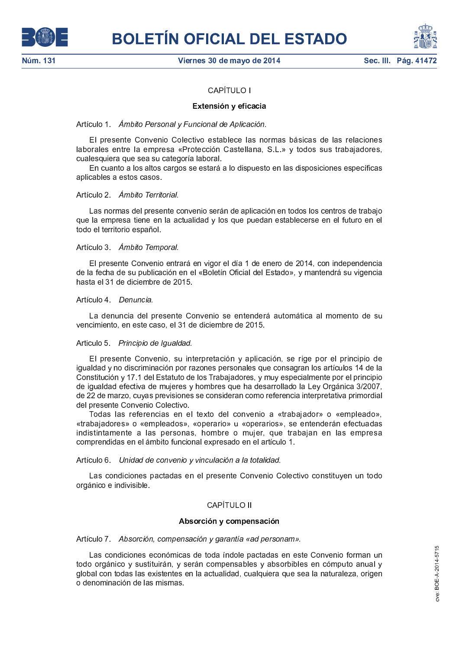



# CAPÍTULO I

# Extensión y eficacia

Artículo 1. Ámbito Personal y Funcional de Aplicación.

El presente Convenio Colectivo establece las normas básicas de las relaciones laborales entre la empresa «Protección Castellana, S.L.» y todos sus trabajadores, cualesquiera que sea su categoría laboral.

En cuanto a los altos cargos se estará a lo dispuesto en las disposiciones específicas aplicables a estos casos.

# Artículo 2. Ámbito Territorial.

Las normas del presente convenio serán de aplicación en todos los centros de trabajo que la empresa tiene en la actualidad y los que puedan establecerse en el futuro en el todo el territorio español

# Artículo 3 *Ámbito Temporal*.

El presente Convenio entrará en vigor el día 1 de enero de 2014, con independencia de la fecha de su publicación en el «Boletín Oficial del Estado», y mantendrá su vigencia hasta el 31 de diciembre de 2015.

# Artículo 4 Denuncia.

La denuncia del presente Convenio se entenderá automática al momento de su vencimiento, en este caso, el 31 de diciembre de 2015.

# Articulo 5 Principio de Igualdad.

El presente Convenio, su interpretación y aplicación, se rige por el principio de igualdad y no discriminación por razones personales que consagran los artículos 14 de la Constitución y 17.1 del Estatuto de los Trabajadores, y muy especialmente por el principio de igualdad efectiva de mujeres y hombres que ha desarrollado la Ley Orgánica 3/2007, de 22 de marzo, cuyas previsiones se consideran como referencia interpretativa primordial del presente Convenio Colectivo.

Todas las referencias en el texto del convenio a «trabajador» o «empleado», «trabajadores» o «empleados», «operario» u «operarios», se entenderán efectuadas indistintamente a las personas, hombre o mujer, que trabajan en las empresa comprendidas en el ámbito funcional expresado en el artículo 1.

# Artículo 6. Unidad de convenio y vinculación a la totalidad.

Las condiciones pactadas en el presente Convenio Colectivo constituyen un todo orgánico e indivisible.

# CAPÍTULO II

### Absorción y compensación

Artículo 7 Absorción, compensación y garantía «ad personam».

Las condiciones económicas de toda índole pactadas en este Convenio forman un todo orgánico y sustituirán, y serán compensables y absorbibles en cómputo anual y global con todas las existentes en la actualidad, cualquiera que sea la naturaleza, origen o denominación de las mismas.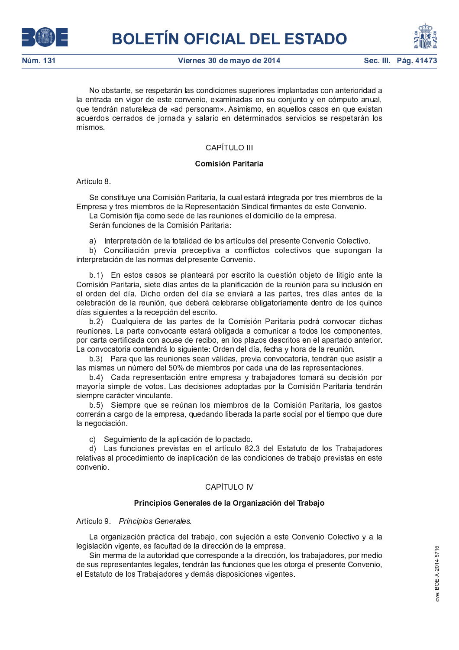

Viernes 30 de mayo de 2014



No obstante, se respetarán las condiciones superiores implantadas con anterioridad a la entrada en vigor de este convenio, examinadas en su conjunto y en cómputo anual, que tendrán naturaleza de «ad personam». Asimismo, en aquellos casos en que existan acuerdos cerrados de jornada y salario en determinados servicios se respetarán los mismos.

# **CAPÍTULO III**

# Comisión Paritaria

Artículo 8

Se constituye una Comisión Paritaria, la cual estará integrada por tres miembros de la Empresa y tres miembros de la Representación Sindical firmantes de este Convenio.

La Comisión fija como sede de las reuniones el domicilio de la empresa.

Serán funciones de la Comisión Paritaria:

a) Interpretación de la totalidad de los artículos del presente Convenio Colectivo.

b) Conciliación previa preceptiva a conflictos colectivos que supongan la interpretación de las normas del presente Convenio.

b.1) En estos casos se planteará por escrito la cuestión objeto de litigio ante la Comisión Paritaria, siete días antes de la planificación de la reunión para su inclusión en el orden del día. Dicho orden del día se enviará a las partes, tres días antes de la celebración de la reunión, que deberá celebrarse obligatoriamente dentro de los quince días siguientes a la recepción del escrito.

b.2) Cualquiera de las partes de la Comisión Paritaria podrá convocar dichas reuniones. La parte convocante estará obligada a comunicar a todos los componentes, por carta certificada con acuse de recibo, en los plazos descritos en el apartado anterior. La convocatoria contendrá lo siguiente: Orden del día, fecha y hora de la reunión.

b.3) Para que las reuniones sean válidas, previa convocatoria, tendrán que asistir a las mismas un número del 50% de miembros por cada una de las representaciones.

b.4) Cada representación entre empresa y trabajadores tomará su decisión por mayoría simple de votos. Las decisiones adoptadas por la Comisión Paritaria tendrán siempre carácter vinculante.

b.5) Siempre que se reúnan los miembros de la Comisión Paritaria, los gastos correrán a cargo de la empresa, quedando liberada la parte social por el tiempo que dure la negociación.

c) Seguimiento de la aplicación de lo pactado.

d) Las funciones previstas en el artículo 82.3 del Estatuto de los Trabajadores relativas al procedimiento de inaplicación de las condiciones de trabajo previstas en este convenio.

# **CAPÍTULO IV**

# Principios Generales de la Organización del Trabajo

Artículo 9 Principios Generales.

La organización práctica del trabajo, con sujeción a este Convenio Colectivo y a la legislación vigente, es facultad de la dirección de la empresa.

Sin merma de la autoridad que corresponde a la dirección, los trabajadores, por medio de sus representantes legales, tendrán las funciones que les otorga el presente Convenio, el Estatuto de los Trabajadores y demás disposiciones vigentes.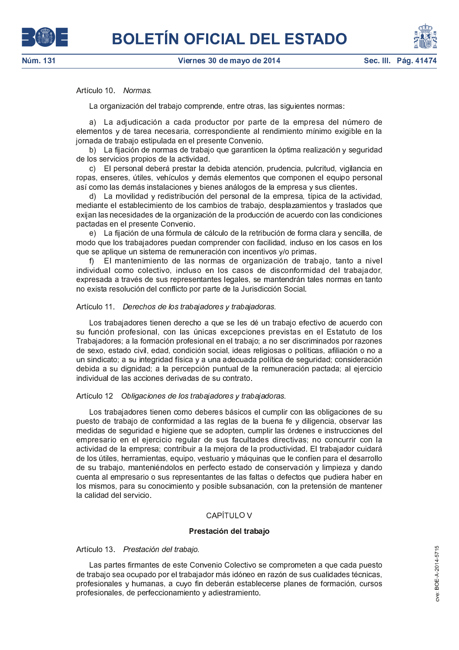# Artículo 10 Normas.

La organización del trabajo comprende, entre otras, las siguientes normas:

a) La adjudicación a cada productor por parte de la empresa del número de elementos y de tarea necesaria, correspondiente al rendimiento mínimo exigible en la jornada de trabajo estipulada en el presente Convenio.

b) La fijación de normas de trabajo que garanticen la óptima realización y seguridad de los servicios propios de la actividad.

c) El personal deberá prestar la debida atención, prudencia, pulcritud, vigilancia en ropas, enseres, útiles, vehículos y demás elementos que componen el equipo personal así como las demás instalaciones y bienes análogos de la empresa y sus clientes.

d) La movilidad y redistribución del personal de la empresa, típica de la actividad, mediante el establecimiento de los cambios de trabajo, desplazamientos y traslados que exijan las necesidades de la organización de la producción de acuerdo con las condiciones pactadas en el presente Convenio.

e) La fijación de una fórmula de cálculo de la retribución de forma clara y sencilla, de modo que los trabajadores puedan comprender con facilidad, incluso en los casos en los que se aplique un sistema de remuneración con incentivos y/o primas.

f) El mantenimiento de las normas de organización de trabajo, tanto a nivel individual como colectivo, incluso en los casos de disconformidad del trabajador, expresada a través de sus representantes legales, se mantendrán tales normas en tanto no exista resolución del conflicto por parte de la Jurisdicción Social.

### Artículo 11 Derechos de los trabajadores y trabajadoras.

Los trabajadores tienen derecho a que se les dé un trabajo efectivo de acuerdo con su función profesional, con las únicas excepciones previstas en el Estatuto de los Trabajadores; a la formación profesional en el trabajo; a no ser discriminados por razones de sexo, estado civil, edad, condición social, ideas religiosas o políticas, afiliación o no a un sindicato; a su integridad física y a una adecuada política de seguridad; consideración debida a su dignidad; a la percepción puntual de la remuneración pactada; al ejercicio individual de las acciones derivadas de su contrato.

# Artículo 12 Obligaciones de los trabajadores y trabajadoras.

Los trabajadores tienen como deberes básicos el cumplir con las obligaciones de su puesto de trabajo de conformidad a las reglas de la buena fe y diligencia, observar las medidas de seguridad e higiene que se adopten, cumplir las órdenes e instrucciones del empresario en el ejercicio regular de sus facultades directivas; no concurrir con la actividad de la empresa; contribuir a la mejora de la productividad. El trabajador cuidará de los útiles, herramientas, equipo, vestuario y máquinas que le confíen para el desarrollo de su trabajo, manteniéndolos en perfecto estado de conservación y limpieza y dando cuenta al empresario o sus representantes de las faltas o defectos que pudiera haber en los mismos, para su conocimiento y posible subsanación, con la pretensión de mantener la calidad del servicio.

# CAPÍTULO V

# Prestación del trabajo

### Artículo 13 Prestación del trabaio.

Las partes firmantes de este Convenio Colectivo se comprometen a que cada puesto de trabajo sea ocupado por el trabajador más idóneo en razón de sus cualidades técnicas, profesionales y humanas, a cuyo fin deberán establecerse planes de formación, cursos profesionales, de perfeccionamiento y adiestramiento.



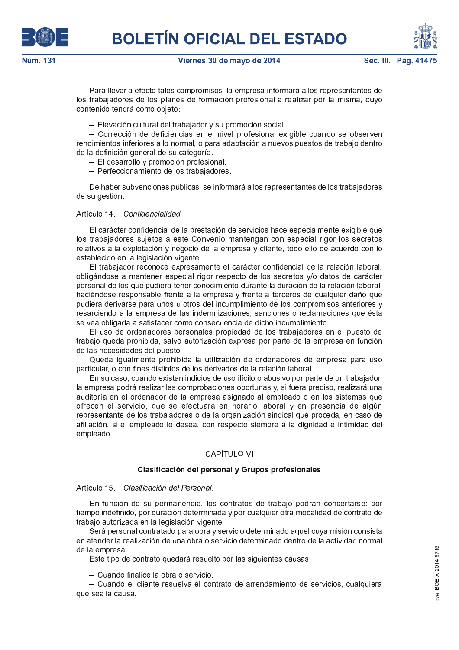



Para llevar a efecto tales compromisos, la empresa informará a los representantes de los trabajadores de los planes de formación profesional a realizar por la misma, cuyo contenido tendrá como objeto:

- Elevación cultural del trabajador y su promoción social.

- Corrección de deficiencias en el nivel profesional exigible cuando se observen rendimientos inferiores a lo normal, o para adaptación a nuevos puestos de trabajo dentro de la definición general de su categoría.

- El desarrollo y promoción profesional.
- Perfeccionamiento de los trabajadores.

De haber subvenciones públicas, se informará a los representantes de los trabajadores de su gestión.

### Artículo 14 Confidencialidad.

El carácter confidencial de la prestación de servicios hace especialmente exigible que los trabajadores sujetos a este Convenio mantengan con especial rigor los secretos relativos a la explotación y negocio de la empresa y cliente, todo ello de acuerdo con lo establecido en la legislación vigente.

El trabajador reconoce expresamente el carácter confidencial de la relación laboral, obligándose a mantener especial rigor respecto de los secretos y/o datos de carácter personal de los que pudiera tener conocimiento durante la duración de la relación laboral, haciéndose responsable frente a la empresa y frente a terceros de cualquier daño que pudiera derivarse para unos u otros del incumplimiento de los compromisos anteriores y resarciendo a la empresa de las indemnizaciones, sanciones o reclamaciones que ésta se vea obligada a satisfacer como consecuencia de dicho incumplimiento.

El uso de ordenadores personales propiedad de los trabajadores en el puesto de trabajo queda prohibida, salvo autorización expresa por parte de la empresa en función de las necesidades del puesto.

Queda igualmente prohibida la utilización de ordenadores de empresa para uso particular, o con fines distintos de los derivados de la relación laboral.

En su caso, cuando existan indicios de uso ilícito o abusivo por parte de un trabajador, la empresa podrá realizar las comprobaciones oportunas y, si fuera preciso, realizará una auditoría en el ordenador de la empresa asignado al empleado o en los sistemas que ofrecen el servicio, que se efectuará en horario laboral y en presencia de algún representante de los trabajadores o de la organización sindical que proceda, en caso de afiliación, si el empleado lo desea, con respecto siempre a la dignidad e intimidad del empleado.

# CAPÍTULO VI

### Clasificación del personal y Grupos profesionales

### Artículo 15. Clasificación del Personal.

En función de su permanencia, los contratos de trabajo podrán concertarse: por tiempo indefinido, por duración determinada y por cualquier otra modalidad de contrato de trabajo autorizada en la legislación vigente.

Será personal contratado para obra y servicio determinado aquel cuya misión consista en atender la realización de una obra o servicio determinado dentro de la actividad normal de la empresa.

Este tipo de contrato quedará resuelto por las siguientes causas:

- Cuando finalice la obra o servicio

- Cuando el cliente resuelva el contrato de arrendamiento de servicios, cualquiera que sea la causa.

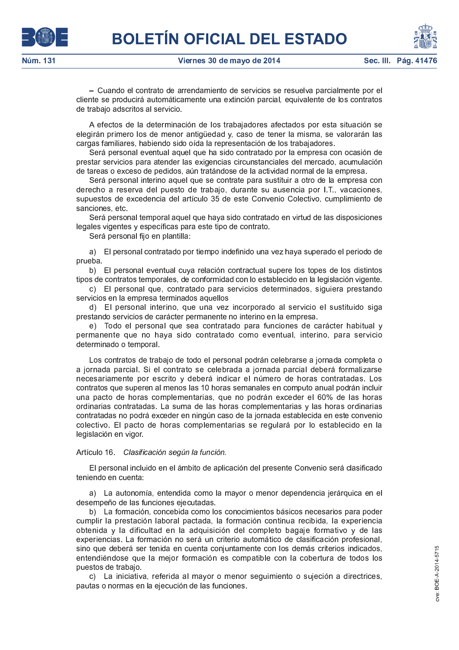



- Cuando el contrato de arrendamiento de servicios se resuelva parcialmente por el cliente se producirá automáticamente una extinción parcial, equivalente de los contratos de trabajo adscritos al servicio.

A efectos de la determinación de los trabajadores afectados por esta situación se elegirán primero los de menor antigüedad y, caso de tener la misma, se valorarán las cargas familiares, habiendo sido oída la representación de los trabajadores.

Será personal eventual aquel que ha sido contratado por la empresa con ocasión de prestar servicios para atender las exigencias circunstanciales del mercado, acumulación de tareas o exceso de pedidos, aún tratándose de la actividad normal de la empresa.

Será personal interino aquel que se contrate para sustituir a otro de la empresa con derecho a reserva del puesto de trabajo, durante su ausencia por I.T., vacaciones, supuestos de excedencia del artículo 35 de este Convenio Colectivo, cumplimiento de sanciones, etc.

Será personal temporal aquel que haya sido contratado en virtud de las disposiciones legales vigentes y específicas para este tipo de contrato.

Será personal fijo en plantilla:

a) El personal contratado por tiempo indefinido una vez haya superado el periodo de prueba.

b) El personal eventual cuya relación contractual supere los topes de los distintos tipos de contratos temporales, de conformidad con lo establecido en la legislación vigente.

c) El personal que, contratado para servicios determinados, siguiera prestando servicios en la empresa terminados aquellos

d) El personal interino, que una vez incorporado al servicio el sustituido siga prestando servicios de carácter permanente no interino en la empresa.

e) Todo el personal que sea contratado para funciones de carácter habitual y permanente que no haya sido contratado como eventual, interino, para servicio determinado o temporal.

Los contratos de trabajo de todo el personal podrán celebrarse a jornada completa o a jornada parcial. Si el contrato se celebrada a jornada parcial deberá formalizarse necesariamente por escrito y deberá indicar el número de horas contratadas. Los contratos que superen al menos las 10 horas semanales en computo anual podrán incluir una pacto de horas complementarias, que no podrán exceder el 60% de las horas ordinarias contratadas. La suma de las horas complementarias y las horas ordinarias contratadas no podrá exceder en ningún caso de la jornada establecida en este convenio colectivo. El pacto de horas complementarias se regulará por lo establecido en la legislación en vigor

# Artículo 16. Clasificación según la función.

El personal incluido en el ámbito de aplicación del presente Convenio será clasificado teniendo en cuenta:

a) La autonomía, entendida como la mayor o menor dependencia jerárquica en el desempeño de las funciones ejecutadas.

b) La formación, concebida como los conocimientos básicos necesarios para poder cumplir la prestación laboral pactada. la formación continua recibida, la experiencia obtenida y la dificultad en la adquisición del completo bagaje formativo y de las experiencias. La formación no será un criterio automático de clasificación profesional. sino que deberá ser tenida en cuenta conjuntamente con los demás criterios indicados, entendiéndose que la mejor formación es compatible con la cobertura de todos los puestos de trabajo

c) La iniciativa, referida al mayor o menor seguimiento o sujeción a directrices, pautas o normas en la ejecución de las funciones.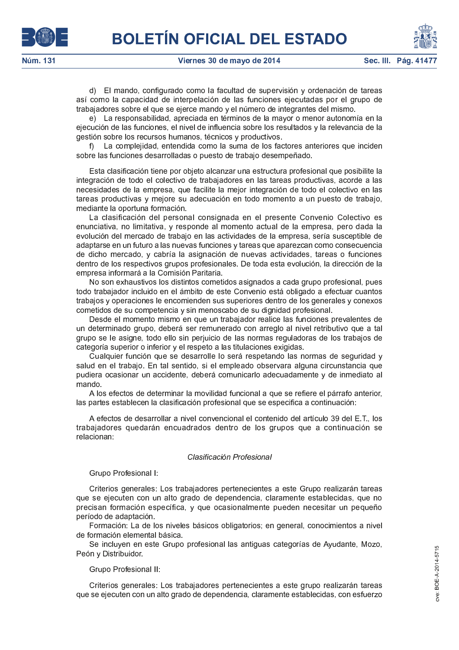d) El mando, configurado como la facultad de supervisión y ordenación de tareas así como la capacidad de interpelación de las funciones ejecutadas por el grupo de trabajadores sobre el que se ejerce mando y el número de integrantes del mismo.

e) La responsabilidad, apreciada en términos de la mayor o menor autonomía en la ejecución de las funciones, el nivel de influencia sobre los resultados y la relevancia de la gestión sobre los recursos humanos, técnicos y productivos.

f) La complejidad, entendida como la suma de los factores anteriores que inciden sobre las funciones desarrolladas o puesto de trabajo desempeñado.

Esta clasificación tiene por objeto alcanzar una estructura profesional que posibilite la integración de todo el colectivo de trabajadores en las tareas productivas, acorde a las necesidades de la empresa, que facilite la mejor integración de todo el colectivo en las tareas productivas y mejore su adecuación en todo momento a un puesto de trabajo, mediante la oportuna formación.

La clasificación del personal consignada en el presente Convenio Colectivo es enunciativa, no limitativa, y responde al momento actual de la empresa, pero dada la evolución del mercado de trabajo en las actividades de la empresa, sería susceptible de adaptarse en un futuro a las nuevas funciones y tareas que aparezcan como consecuencia de dicho mercado, y cabría la asignación de nuevas actividades, tareas o funciones dentro de los respectivos grupos profesionales. De toda esta evolución, la dirección de la empresa informará a la Comisión Paritaria.

No son exhaustivos los distintos cometidos asignados a cada grupo profesional, pues todo trabajador incluido en el ámbito de este Convenio está obligado a efectuar cuantos trabajos y operaciones le encomienden sus superiores dentro de los generales y conexos cometidos de su competencia y sin menoscabo de su dignidad profesional.

Desde el momento mismo en que un trabajador realice las funciones prevalentes de un determinado grupo, deberá ser remunerado con arreglo al nivel retributivo que a tal grupo se le asigne, todo ello sin perjuicio de las normas reguladoras de los trabajos de categoría superior o inferior y el respeto a las titulaciones exigidas.

Cualquier función que se desarrolle lo será respetando las normas de seguridad y salud en el trabajo. En tal sentido, si el empleado observara alguna circunstancia que pudiera ocasionar un accidente, deberá comunicarlo adecuadamente y de inmediato al mando.

A los efectos de determinar la movilidad funcional a que se refiere el párrafo anterior, las partes establecen la clasificación profesional que se especifica a continuación:

A efectos de desarrollar a nivel convencional el contenido del artículo 39 del E.T., los trabajadores quedarán encuadrados dentro de los grupos que a continuación se relacionan.

# Clasificación Profesional

Grupo Profesional I:

Criterios generales: Los trabajadores pertenecientes a este Grupo realizarán tareas que se ejecuten con un alto grado de dependencia, claramente establecidas, que no precisan formación específica, y que ocasionalmente pueden necesitar un pequeño período de adaptación.

Formación: La de los niveles básicos obligatorios; en general, conocimientos a nivel de formación elemental básica.

Se incluyen en este Grupo profesional las antiguas categorías de Ayudante, Mozo, Peón y Distribuidor.

Grupo Profesional II:

Criterios generales: Los trabajadores pertenecientes a este grupo realizarán tareas que se ejecuten con un alto grado de dependencia, claramente establecidas, con esfuerzo



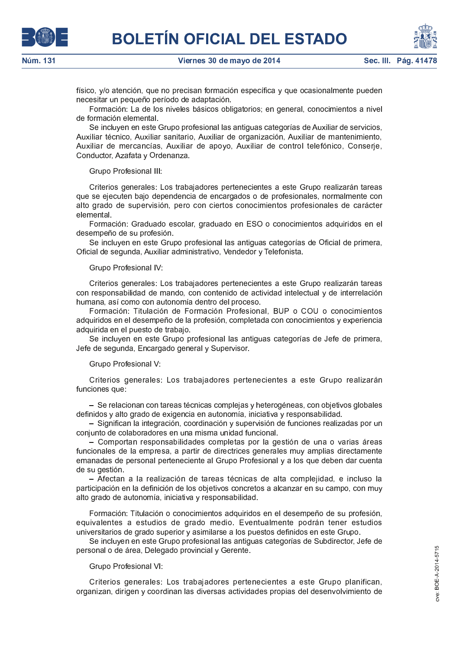



Sec. III. Pág. 41

físico, y/o atención, que no precisan formación específica y que ocasionalmente pueden necesitar un pequeño período de adaptación.

Formación: La de los niveles básicos obligatorios; en general, conocimientos a nivel de formación elemental

Se incluyen en este Grupo profesional las antiguas categorías de Auxiliar de servicios, Auxiliar técnico, Auxiliar sanitario, Auxiliar de organización, Auxiliar de mantenimiento, Auxiliar de mercancías, Auxiliar de apoyo, Auxiliar de control telefónico, Conserje, Conductor, Azafata y Ordenanza.

Grupo Profesional III:

Criterios generales: Los trabajadores pertenecientes a este Grupo realizarán tareas que se ejecuten bajo dependencia de encargados o de profesionales, normalmente con alto grado de supervisión, pero con ciertos conocimientos profesionales de carácter elemental.

Formación: Graduado escolar, graduado en ESO o conocimientos adquiridos en el desempeño de su profesión.

Se incluyen en este Grupo profesional las antiguas categorías de Oficial de primera, Oficial de segunda, Auxiliar administrativo, Vendedor y Telefonista.

Grupo Profesional IV:

Criterios generales: Los trabajadores pertenecientes a este Grupo realizarán tareas con responsabilidad de mando, con contenido de actividad intelectual y de interrelación humana, así como con autonomía dentro del proceso.

Formación: Titulación de Formación Profesional, BUP o COU o conocimientos adquiridos en el desempeño de la profesión, completada con conocimientos y experiencia adquirida en el puesto de trabajo.

Se incluyen en este Grupo profesional las antiguas categorías de Jefe de primera, Jefe de segunda, Encargado general y Supervisor.

Grupo Profesional V.

Criterios generales: Los trabajadores pertenecientes a este Grupo realizarán funciones que:

- Se relacionan con tareas técnicas complejas y heterogéneas, con objetivos globales definidos y alto grado de exigencia en autonomía, iniciativa y responsabilidad.

– Significan la integración, coordinación y supervisión de funciones realizadas por un conjunto de colaboradores en una misma unidad funcional

- Comportan responsabilidades completas por la gestión de una o varias áreas funcionales de la empresa, a partir de directrices generales muy amplias directamente emanadas de personal perteneciente al Grupo Profesional y a los que deben dar cuenta de su gestión.

- Afectan a la realización de tareas técnicas de alta complejidad, e incluso la participación en la definición de los objetivos concretos a alcanzar en su campo, con muy alto grado de autonomía, iniciativa y responsabilidad.

Formación: Titulación o conocimientos adquiridos en el desempeño de su profesión, equivalentes a estudios de grado medio. Eventualmente podrán tener estudios universitarios de grado superior y asimilarse a los puestos definidos en este Grupo.

Se incluyen en este Grupo profesional las antiguas categorías de Subdirector, Jefe de personal o de área, Delegado provincial y Gerente.

Grupo Profesional VI:

Criterios generales: Los trabajadores pertenecientes a este Grupo planifican, organizan, dirigen y coordinan las diversas actividades propias del desenvolvimiento de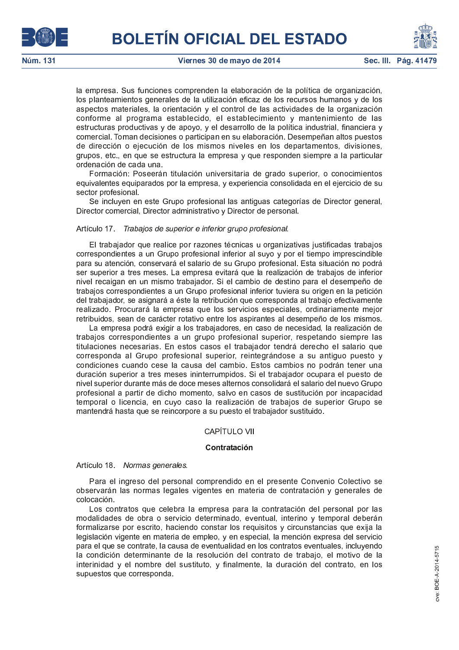



la empresa. Sus funciones comprenden la elaboración de la política de organización. los planteamientos generales de la utilización eficaz de los recursos humanos y de los aspectos materiales, la orientación y el control de las actividades de la organización conforme al programa establecido, el establecimiento y mantenimiento de las estructuras productivas y de apoyo, y el desarrollo de la política industrial, financiera y comercial. Toman decisiones o participan en su elaboración. Desempeñan altos puestos de dirección o ejecución de los mismos niveles en los departamentos, divisiones, grupos, etc., en que se estructura la empresa y que responden siempre a la particular ordenación de cada una.

Formación: Poseerán titulación universitaria de grado superior, o conocimientos equivalentes equiparados por la empresa, y experiencia consolidada en el ejercicio de su sector profesional

Se incluyen en este Grupo profesional las antiguas categorías de Director general, Director comercial, Director administrativo y Director de personal.

# Artículo 17. Trabajos de superior e inferior grupo profesional.

El trabajador que realice por razones técnicas u organizativas justificadas trabajos correspondientes a un Grupo profesional inferior al suyo y por el tiempo imprescindible para su atención, conservará el salario de su Grupo profesional. Esta situación no podrá ser superior a tres meses. La empresa evitará que la realización de trabajos de inferior nivel recaigan en un mismo trabajador. Si el cambio de destino para el desempeño de trabajos correspondientes a un Grupo profesional inferior tuviera su origen en la petición del trabajador, se asignará a éste la retribución que corresponda al trabajo efectivamente realizado. Procurará la empresa que los servicios especiales, ordinariamente mejor retribuidos, sean de carácter rotativo entre los aspirantes al desempeño de los mismos.

La empresa podrá exigir a los trabajadores, en caso de necesidad, la realización de trabajos correspondientes a un grupo profesional superior, respetando siempre las titulaciones necesarias. En estos casos el trabajador tendrá derecho el salario que corresponda al Grupo profesional superior, reintegrándose a su antiguo puesto y condiciones cuando cese la causa del cambio. Estos cambios no podrán tener una duración superior a tres meses ininterrumpidos. Si el trabajador ocupara el puesto de nivel superior durante más de doce meses alternos consolidará el salario del nuevo Grupo profesional a partir de dicho momento, salvo en casos de sustitución por incapacidad temporal o licencia, en cuyo caso la realización de trabajos de superior Grupo se mantendrá hasta que se reincorpore a su puesto el trabajador sustituido.

# **CAPÍTULO VII**

# Contratación

Artículo 18 Normas generales.

Para el ingreso del personal comprendido en el presente Convenio Colectivo se observarán las normas legales vigentes en materia de contratación y generales de colocación.

Los contratos que celebra la empresa para la contratación del personal por las modalidades de obra o servicio determinado, eventual, interino y temporal deberán formalizarse por escrito, haciendo constar los requisitos y circunstancias que exija la legislación vigente en materia de empleo, y en especial, la mención expresa del servicio para el que se contrate, la causa de eventualidad en los contratos eventuales, incluyendo la condición determinante de la resolución del contrato de trabajo, el motivo de la interinidad y el nombre del sustituto, y finalmente, la duración del contrato, en los supuestos que corresponda.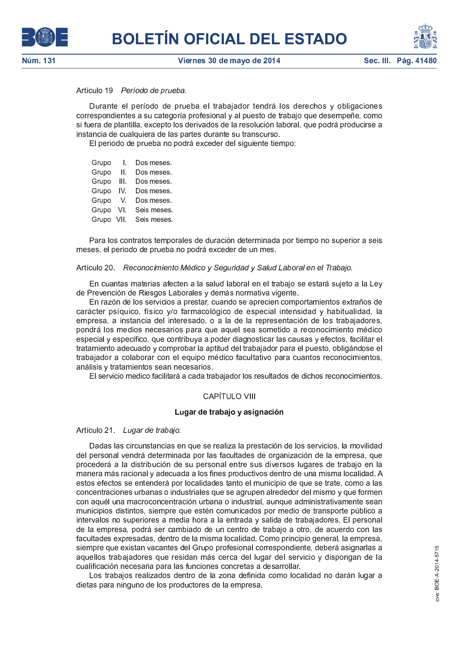# Artículo 19 Período de prueba.

Durante el período de prueba el trabajador tendrá los derechos y obligaciones correspondientes a su categoría profesional y al puesto de trabajo que desempeñe, como si fuera de plantilla, excepto los derivados de la resolución laboral, que podrá producirse a instancia de cualquiera de las partes durante su transcurso.

El periodo de prueba no podrá exceder del siguiente tiempo:

Grupo Dos meses.  $\mathbf{I}$ . Grupo Dos meses. Ш. Grupo  $III.$ Dos meses. Grupo IV. Dos meses. Grupo  $\mathbf{V}$ Dos meses. Grupo VI. Seis meses. Grupo VII. Seis meses

Para los contratos temporales de duración determinada por tiempo no superior a seis meses, el periodo de prueba no podrá exceder de un mes.

# Artículo 20. Reconocimiento Médico y Seguridad y Salud Laboral en el Trabajo.

En cuantas materias afecten a la salud laboral en el trabajo se estará sujeto a la Ley de Prevención de Riesgos Laborales y demás normativa vigente.

En razón de los servicios a prestar, cuando se aprecien comportamientos extraños de carácter psíquico, físico y/o farmacológico de especial intensidad y habitualidad, la empresa, a instancia del interesado, o a la de la representación de los trabajadores, pondrá los medios necesarios para que aquel sea sometido a reconocimiento médico especial y específico, que contribuya a poder diagnosticar las causas y efectos, facilitar el tratamiento adecuado y comprobar la aptitud del trabajador para el puesto, obligándose el trabajador a colaborar con el equipo médico facultativo para cuantos reconocimientos, análisis y tratamientos sean necesarios.

El servicio medico facilitará a cada trabajador los resultados de dichos reconocimientos.

# CAPÍTULO VIII

# Lugar de trabajo y asignación

### Artículo 21 Lugar de trabajo.

Dadas las circunstancias en que se realiza la prestación de los servicios, la movilidad del personal vendrá determinada por las facultades de organización de la empresa, que procederá a la distribución de su personal entre sus diversos lugares de trabajo en la manera más racional y adecuada a los fines productivos dentro de una misma localidad. A estos efectos se entenderá por localidades tanto el municipio de que se trate, como a las concentraciones urbanas o industriales que se agrupen alrededor del mismo y que formen con aquél una macroconcentración urbana o industrial, aunque administrativamente sean municipios distintos, siempre que estén comunicados por medio de transporte público a intervalos no superiores a media hora a la entrada y salida de trabajadores. El personal de la empresa, podrá ser cambiado de un centro de trabajo a otro, de acuerdo con las facultades expresadas, dentro de la misma localidad. Como principio general, la empresa, siempre que existan vacantes del Grupo profesional correspondiente, deberá asignarlas a aquellos trabajadores que residan más cerca del lugar del servicio y dispongan de la cualificación necesaria para las funciones concretas a desarrollar.

Los trabajos realizados dentro de la zona definida como localidad no darán lugar a dietas para ninguno de los productores de la empresa.



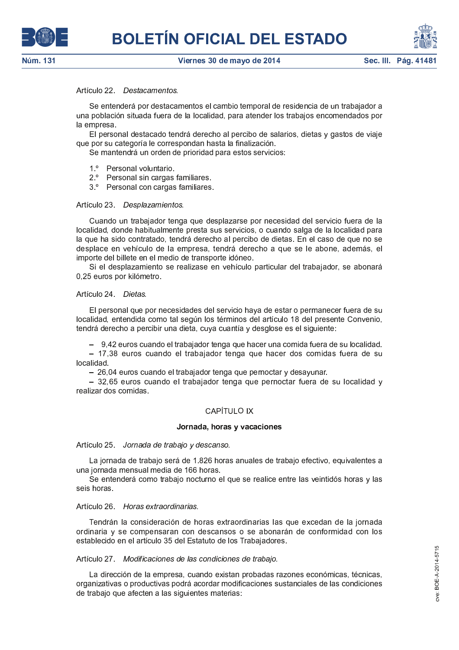# Artículo 22. Destacamentos.

Se entenderá por destacamentos el cambio temporal de residencia de un trabajador a una población situada fuera de la localidad, para atender los trabajos encomendados por la empresa.

El personal destacado tendrá derecho al percibo de salarios, dietas y gastos de viaje que por su categoría le correspondan hasta la finalización.

Se mantendrá un orden de prioridad para estos servicios:

- $1<sup>o</sup>$ Personal voluntario
- $2^{\circ}$ Personal sin cargas familiares.
- 3<sup>°</sup> Personal con cargas familiares

# Artículo 23 Desplazamientos.

Cuando un trabajador tenga que desplazarse por necesidad del servicio fuera de la localidad, donde habitualmente presta sus servicios, o cuando salga de la localidad para la que ha sido contratado, tendrá derecho al percibo de dietas. En el caso de que no se desplace en vehículo de la empresa, tendrá derecho a que se le abone, además, el importe del billete en el medio de transporte idóneo.

Si el desplazamiento se realizase en vehículo particular del trabajador, se abonará 0,25 euros por kilómetro.

# Artículo 24 Dietas.

El personal que por necesidades del servicio haya de estar o permanecer fuera de su localidad, entendida como tal según los términos del artículo 18 del presente Convenio, tendrá derecho a percibir una dieta, cuya cuantía y desglose es el siguiente:

- 9,42 euros cuando el trabajador tenga que hacer una comida fuera de su localidad.

- 17,38 euros cuando el trabajador tenga que hacer dos comidas fuera de su localidad.

- 26,04 euros cuando el trabajador tenga que pernoctar y desayunar.

- 32,65 euros cuando el trabajador tenga que pernoctar fuera de su localidad y realizar dos comidas

# **CAPÍTULO IX**

# Jornada, horas y vacaciones

Artículo 25 Jornada de trabajo y descanso.

La jornada de trabajo será de 1.826 horas anuales de trabajo efectivo, equivalentes a una iornada mensual media de 166 horas.

Se entenderá como trabajo nocturno el que se realice entre las veintidós horas y las seis horas

# Artículo 26 Horas extraordinarias.

Tendrán la consideración de horas extraordinarias las que excedan de la jornada ordinaria y se compensaran con descansos o se abonarán de conformidad con los establecido en el artículo 35 del Estatuto de los Trabajadores.

# Artículo 27 Modificaciones de las condiciones de trabajo.

La dirección de la empresa, cuando existan probadas razones económicas, técnicas, organizativas o productivas podrá acordar modificaciones sustanciales de las condiciones de trabajo que afecten a las siguientes materias:



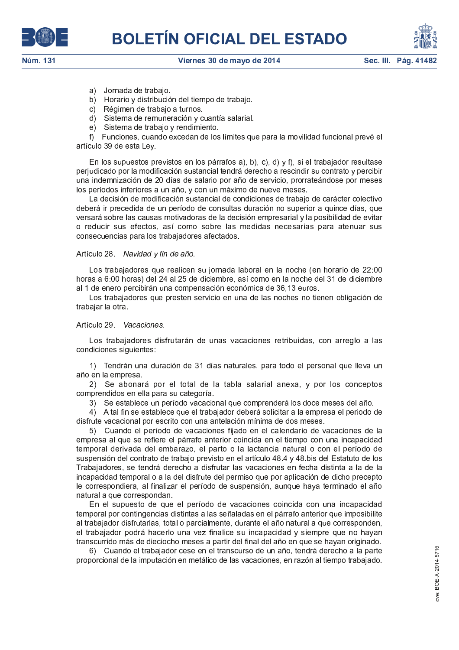





- a) Jornada de trabaio
- b) Horario y distribución del tiempo de trabajo.
- c) Régimen de trabajo a turnos.
- d) Sistema de remuneración y cuantía salarial.
- e) Sistema de trabajo y rendimiento.

f) Funciones, cuando excedan de los límites que para la movilidad funcional prevé el artículo 39 de esta Ley.

En los supuestos previstos en los párrafos a), b), c), d) y f), si el trabajador resultase perjudicado por la modificación sustancial tendrá derecho a rescindir su contrato y percibir una indemnización de 20 días de salario por año de servicio, prorrateándose por meses los períodos inferiores a un año, y con un máximo de nueve meses.

La decisión de modificación sustancial de condiciones de trabajo de carácter colectivo deberá ir precedida de un período de consultas duración no superior a quince días, que versará sobre las causas motivadoras de la decisión empresarial y la posibilidad de evitar o reducir sus efectos, así como sobre las medidas necesarias para atenuar sus consecuencias para los trabajadores afectados.

Artículo 28. Navidad y fin de año.

Los trabajadores que realicen su jornada laboral en la noche (en horario de 22:00 horas a 6:00 horas) del 24 al 25 de diciembre, así como en la noche del 31 de diciembre al 1 de enero percibirán una compensación económica de 36,13 euros.

Los trabajadores que presten servicio en una de las noches no tienen obligación de trabajar la otra

Artículo 29. Vacaciones.

Los trabajadores disfrutarán de unas vacaciones retribuidas, con arreglo a las condiciones siguientes:

1) Tendrán una duración de 31 días naturales, para todo el personal que lleva un año en la empresa.

2) Se abonará por el total de la tabla salarial anexa, y por los conceptos comprendidos en ella para su categoría.

3) Se establece un período vacacional que comprenderá los doce meses del año.

4) A tal fin se establece que el trabajador deberá solicitar a la empresa el periodo de disfrute vacacional por escrito con una antelación mínima de dos meses.

5) Cuando el período de vacaciones fijado en el calendario de vacaciones de la empresa al que se refiere el párrafo anterior coincida en el tiempo con una incapacidad temporal derivada del embarazo, el parto o la lactancia natural o con el período de suspensión del contrato de trabajo previsto en el artículo 48.4 y 48 bis del Estatuto de los Trabajadores, se tendrá derecho a disfrutar las vacaciones en fecha distinta a la de la incapacidad temporal o a la del disfrute del permiso que por aplicación de dicho precepto le correspondiera, al finalizar el período de suspensión, aunque haya terminado el año natural a que correspondan.

En el supuesto de que el período de vacaciones coincida con una incapacidad temporal por contingencias distintas a las señaladas en el párrafo anterior que imposibilite al trabajador disfrutarlas, total o parcialmente, durante el año natural a que corresponden, el trabajador podrá hacerlo una vez finalice su incapacidad y siempre que no hayan transcurrido más de dieciocho meses a partir del final del año en que se hayan originado.

6) Cuando el trabajador cese en el transcurso de un año, tendrá derecho a la parte proporcional de la imputación en metálico de las vacaciones, en razón al tiempo trabajado.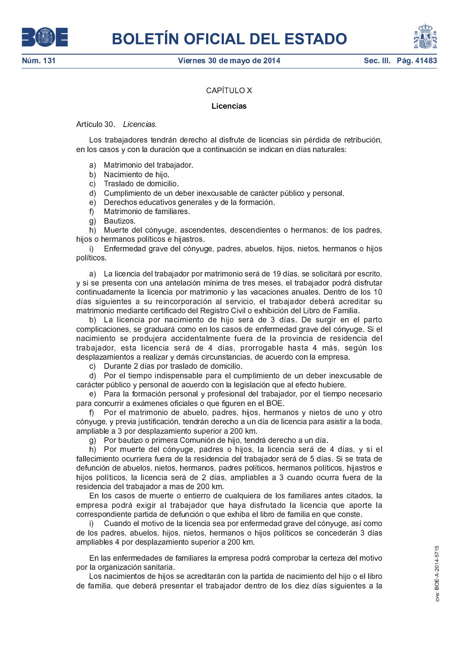



# CAPÍTULO X

# Licencias

Artículo 30 Licencias.

Los trabajadores tendrán derecho al disfrute de licencias sin pérdida de retribución. en los casos y con la duración que a continuación se indican en días naturales:

- a) Matrimonio del trabajador
- b) Nacimiento de hijo
- c) Traslado de domicilio.
- d) Cumplimiento de un deber inexcusable de carácter público y personal.
- e) Derechos educativos generales y de la formación.
- Matrimonio de familiares f)
- g) Bautizos

h) Muerte del cónyuge, ascendentes, descendientes o hermanos; de los padres, hijos o hermanos políticos e hijastros.

Enfermedad grave del cónyuge, padres, abuelos, hijos, nietos, hermanos o hijos  $\vert \vert$ políticos.

a) La licencia del trabajador por matrimonio será de 19 días, se solicitará por escrito, y si se presenta con una antelación mínima de tres meses, el trabajador podrá disfrutar continuadamente la licencia por matrimonio y las vacaciones anuales. Dentro de los 10 días siguientes a su reincorporación al servicio, el trabajador deberá acreditar su matrimonio mediante certificado del Registro Civil o exhibición del Libro de Familia.

b) La licencia por nacimiento de hijo será de 3 días. De surgir en el parto complicaciones, se graduará como en los casos de enfermedad grave del cónyuge. Si el nacimiento se produjera accidentalmente fuera de la provincia de residencia del trabajador, esta licencia será de 4 días, prorrogable hasta 4 más, según los desplazamientos a realizar y demás circunstancias, de acuerdo con la empresa.

c) Durante 2 días por traslado de domicilio.

d) Por el tiempo indispensable para el cumplimiento de un deber inexcusable de carácter público y personal de acuerdo con la legislación que al efecto hubiere.

e) Para la formación personal y profesional del trabajador, por el tiempo necesario para concurrir a exámenes oficiales o que figuren en el BOE.

f) Por el matrimonio de abuelo, padres, hijos, hermanos y nietos de uno y otro cónyuge, y previa justificación, tendrán derecho a un día de licencia para asistir a la boda, ampliable a 3 por desplazamiento superior a 200 km.

g) Por bautizo o primera Comunión de hijo, tendrá derecho a un día.

h) Por muerte del cónyuge, padres o hijos, la licencia será de 4 días, y si el fallecimiento ocurriera fuera de la residencia del trabajador será de 5 días. Si se trata de defunción de abuelos, nietos, hermanos, padres políticos, hermanos políticos, hijastros e hijos políticos, la licencia será de 2 días, ampliables a 3 cuando ocurra fuera de la residencia del trabajador a mas de 200 km.

En los casos de muerte o entierro de cualquiera de los familiares antes citados, la empresa podrá exigir al trabajador que haya disfrutado la licencia que aporte la correspondiente partida de defunción o que exhiba el libro de familia en que conste.

Cuando el motivo de la licencia sea por enfermedad grave del cónyuge, así como i) de los padres, abuelos, hijos, nietos, hermanos o hijos políticos se concederán 3 días ampliables 4 por desplazamiento superior a 200 km.

En las enfermedades de familiares la empresa podrá comprobar la certeza del motivo por la organización sanitaria.

Los nacimientos de hijos se acreditarán con la partida de nacimiento del hijo o el libro de familia, que deberá presentar el trabajador dentro de los diez días siguientes a la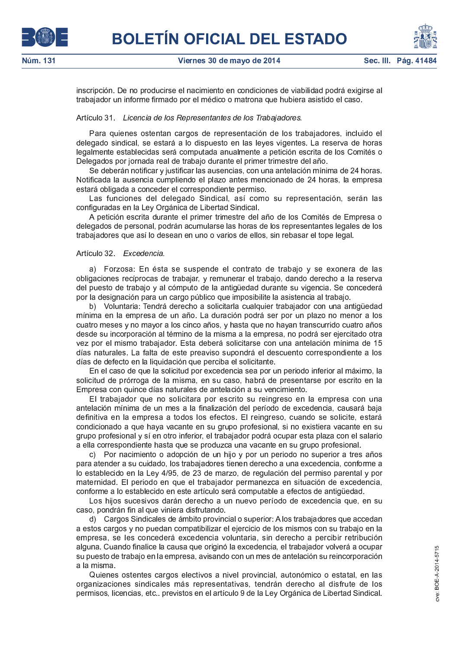

inscripción. De no producirse el nacimiento en condiciones de viabilidad podrá exigirse al trabajador un informe firmado por el médico o matrona que hubiera asistido el caso.

### Artículo 31 Licencia de los Representantes de los Trabajadores.

Para quienes ostentan cargos de representación de los trabajadores, incluido el delegado sindical, se estará a lo dispuesto en las leyes vigentes. La reserva de horas legalmente establecidas será computada anualmente a petición escrita de los Comités o Delegados por jornada real de trabajo durante el primer trimestre del año.

Se deberán notificar y justificar las ausencias, con una antelación mínima de 24 horas. Notificada la ausencia cumpliendo el plazo antes mencionado de 24 horas, la empresa estará obligada a conceder el correspondiente permiso.

Las funciones del delegado Sindical, así como su representación, serán las configuradas en la Ley Orgánica de Libertad Sindical.

A petición escrita durante el primer trimestre del año de los Comités de Empresa o delegados de personal, podrán acumularse las horas de los representantes legales de los trabajadores que así lo desean en uno o varios de ellos, sin rebasar el tope legal.

### Artículo 32 Excedencia.

a) Forzosa: En ésta se suspende el contrato de trabajo y se exonera de las obligaciones recíprocas de trabajar, y remunerar el trabajo, dando derecho a la reserva del puesto de trabaio y al cómputo de la antigüedad durante su vigencia. Se concederá por la designación para un cargo público que imposibilite la asistencia al trabajo.

b) Voluntaria: Tendrá derecho a solicitarla cualquier trabajador con una antigüedad mínima en la empresa de un año. La duración podrá ser por un plazo no menor a los cuatro meses y no mayor a los cinco años, y hasta que no hayan transcurrido cuatro años desde su incorporación al término de la misma a la empresa, no podrá ser ejercitado otra vez por el mismo trabajador. Esta deberá solicitarse con una antelación mínima de 15 días naturales. La falta de este preaviso supondrá el descuento correspondiente a los días de defecto en la liquidación que perciba el solicitante.

En el caso de que la solicitud por excedencia sea por un periodo inferior al máximo, la solicitud de prórroga de la misma, en su caso, habrá de presentarse por escrito en la Empresa con quince días naturales de antelación a su vencimiento.

El trabajador que no solicitara por escrito su reingreso en la empresa con una antelación mínima de un mes a la finalización del período de excedencia, causará baja definitiva en la empresa a todos los efectos. El reingreso, cuando se solicite, estará condicionado a que haya vacante en su grupo profesional, si no existiera vacante en su grupo profesional y sí en otro inferior, el trabajador podrá ocupar esta plaza con el salario a ella correspondiente hasta que se produzca una vacante en su grupo profesional.

c) Por nacimiento o adopción de un hijo y por un periodo no superior a tres años para atender a su cuidado, los trabajadores tienen derecho a una excedencia, conforme a lo establecido en la Ley 4/95, de 23 de marzo, de regulación del permiso parental y por maternidad. El periodo en que el trabajador permanezca en situación de excedencia, conforme a lo establecido en este artículo será computable a efectos de antigüedad.

Los hijos sucesivos darán derecho a un nuevo período de excedencia que, en su caso, pondrán fin al que viniera disfrutando.

d) Cargos Sindicales de ámbito provincial o superior: A los trabajadores que accedan a estos cargos y no puedan compatibilizar el ejercicio de los mismos con su trabajo en la empresa, se les concederá excedencia voluntaria, sin derecho a percibir retribución alguna. Cuando finalice la causa que originó la excedencia, el trabajador volverá a ocupar su puesto de trabajo en la empresa, avisando con un mes de antelación su reincorporación a la misma l

Quienes ostentes cargos electivos a nivel provincial, autonómico o estatal, en las organizaciones sindicales más representativas, tendrán derecho al disfrute de los permisos, licencias, etc. previstos en el artículo 9 de la Ley Orgánica de Libertad Sindical.

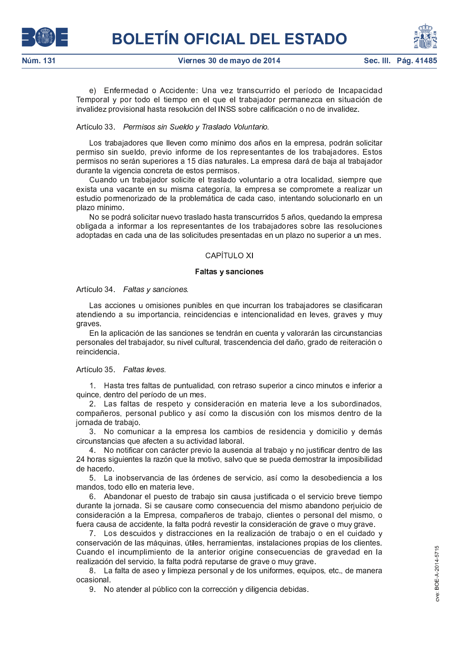

e) Enfermedad o Accidente: Una vez transcurrido el período de Incapacidad Temporal y por todo el tiempo en el que el trabajador permanezca en situación de invalidez provisional hasta resolución del INSS sobre calificación o no de invalidez.

# Artículo 33 Permisos sin Sueldo y Traslado Voluntario.

Los trabajadores que lleven como mínimo dos años en la empresa, podrán solicitar permiso sin sueldo, previo informe de los representantes de los trabajadores. Estos permisos no serán superiores a 15 días naturales. La empresa dará de baja al trabajador durante la vigencia concreta de estos permisos.

Cuando un trabajador solicite el traslado voluntario a otra localidad, siempre que exista una vacante en su misma categoría, la empresa se compromete a realizar un estudio pormenorizado de la problemática de cada caso, intentando solucionarlo en un plazo mínimo

No se podrá solicitar nuevo traslado hasta transcurridos 5 años, quedando la empresa obligada a informar a los representantes de los trabajadores sobre las resoluciones adoptadas en cada una de las solicitudes presentadas en un plazo no superior a un mes.

# CAPÍTULO XI

### **Faltas y sanciones**

### Artículo 34 Faltas y sanciones.

Las acciones u omisiones punibles en que incurran los trabajadores se clasificaran atendiendo a su importancia, reincidencias e intencionalidad en leves, graves y muy graves.

En la aplicación de las sanciones se tendrán en cuenta y valorarán las circunstancias personales del trabajador, su nivel cultural, trascendencia del daño, grado de reiteración o reincidencia

### Artículo 35 Faltas leves.

1. Hasta tres faltas de puntualidad, con retraso superior a cinco minutos e inferior a quince, dentro del período de un mes.

2. Las faltas de respeto y consideración en materia leve a los subordinados, compañeros, personal publico y así como la discusión con los mismos dentro de la jornada de trabajo

3. No comunicar a la empresa los cambios de residencia y domicilio y demás circunstancias que afecten a su actividad laboral

4. No notificar con carácter previo la ausencia al trabajo y no justificar dentro de las 24 horas siguientes la razón que la motivo, salvo que se pueda demostrar la imposibilidad de hacerlo.

5. La inobservancia de las órdenes de servicio, así como la desobediencia a los mandos, todo ello en materia leve.

6. Abandonar el puesto de trabajo sin causa justificada o el servicio breve tiempo durante la jornada. Si se causare como consecuencia del mismo abandono perjuicio de consideración a la Empresa, compañeros de trabajo, clientes o personal del mismo, o fuera causa de accidente, la falta podrá revestir la consideración de grave o muy grave.

7. Los descuidos y distracciones en la realización de trabajo o en el cuidado y conservación de las máquinas, útiles, herramientas, instalaciones propias de los clientes. Cuando el incumplimiento de la anterior origine consecuencias de gravedad en la realización del servicio, la falta podrá reputarse de grave o muy grave.

8. La falta de aseo y limpieza personal y de los uniformes, equipos, etc., de manera ocasional.

9. No atender al público con la corrección y diligencia debidas.

BOE-A-2014-5715

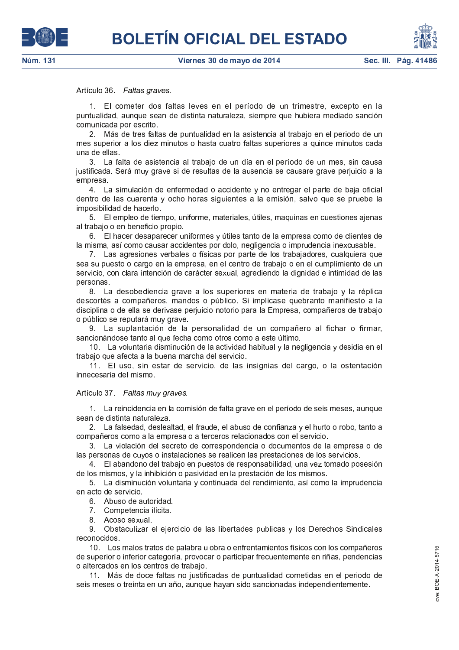# Artículo 36. Faltas graves.

1. El cometer dos faltas leves en el período de un trimestre, excepto en la puntualidad, aunque sean de distinta naturaleza, siempre que hubiera mediado sanción comunicada por escrito.

2. Más de tres faltas de puntualidad en la asistencia al trabajo en el periodo de un mes superior a los diez minutos o hasta cuatro faltas superiores a quince minutos cada una de ellas.

3. La falta de asistencia al trabajo de un día en el período de un mes, sin causa justificada. Será muy grave si de resultas de la ausencia se causare grave perjuicio a la empresa.

4. La simulación de enfermedad o accidente y no entregar el parte de baja oficial dentro de las cuarenta y ocho horas siguientes a la emisión, salvo que se pruebe la imposibilidad de hacerlo.

5. El empleo de tiempo, uniforme, materiales, útiles, maquinas en cuestiones ajenas al trabajo o en beneficio propio.

6. El hacer desaparecer uniformes y útiles tanto de la empresa como de clientes de la misma, así como causar accidentes por dolo, negligencia o imprudencia inexcusable.

7. Las agresiones verbales o físicas por parte de los trabajadores, cualquiera que sea su puesto o cargo en la empresa, en el centro de trabajo o en el cumplimiento de un servicio, con clara intención de carácter sexual, agrediendo la dignidad e intimidad de las personas.

8. La desobediencia grave a los superiores en materia de trabajo y la réplica descortés a compañeros, mandos o público. Si implicase quebranto manifiesto a la disciplina o de ella se derivase perjuicio notorio para la Empresa, compañeros de trabajo o público se reputará muy grave.

9. La suplantación de la personalidad de un compañero al fichar o firmar, sancionándose tanto al que fecha como otros como a este último.

10. La voluntaria disminución de la actividad habitual y la negligencia y desidia en el trabajo que afecta a la buena marcha del servicio.

11. El uso, sin estar de servicio, de las insignias del cargo, o la ostentación innecesaria del mismo.

Artículo 37 Faltas muy graves.

1. La reincidencia en la comisión de falta grave en el período de seis meses, aunque sean de distinta naturaleza.

2. La falsedad, deslealtad, el fraude, el abuso de confianza y el hurto o robo, tanto a compañeros como a la empresa o a terceros relacionados con el servicio.

3. La violación del secreto de correspondencia o documentos de la empresa o de las personas de cuyos o instalaciones se realicen las prestaciones de los servicios.

4. El abandono del trabajo en puestos de responsabilidad, una vez tomado posesión de los mismos, y la inhibición o pasividad en la prestación de los mismos.

5. La disminución voluntaria y continuada del rendimiento, así como la imprudencia en acto de servicio.

6 Abuso de autoridad.

7 Competencia ilícita

8 Acoso sexual

9. Obstaculizar el ejercicio de las libertades publicas y los Derechos Sindicales reconocidos.

10. Los malos tratos de palabra u obra o enfrentamientos físicos con los compañeros de superior o inferior categoría, provocar o participar frecuentemente en riñas, pendencias o altercados en los centros de trabajo.

11. Más de doce faltas no justificadas de puntualidad cometidas en el periodo de seis meses o treinta en un año, aunque hayan sido sancionadas independientemente.



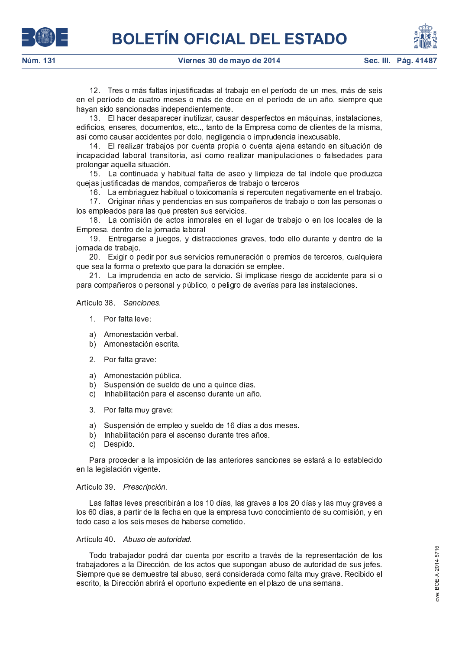

12. Tres o más faltas injustificadas al trabajo en el período de un mes, más de seis en el período de cuatro meses o más de doce en el período de un año, siempre que hayan sido sancionadas independientemente.

13. El hacer desaparecer inutilizar, causar desperfectos en máquinas, instalaciones, edificios, enseres, documentos, etc.., tanto de la Empresa como de clientes de la misma, así como causar accidentes por dolo, negligencia o imprudencia inexcusable.

14. El realizar trabajos por cuenta propia o cuenta ajena estando en situación de incapacidad laboral transitoria, así como realizar manipulaciones o falsedades para prolongar aquella situación.

15. La continuada y habitual falta de aseo y limpieza de tal índole que produzca quejas justificadas de mandos, compañeros de trabajo o terceros

16. La embriaguez habitual o toxicomanía si repercuten negativamente en el trabajo.

17 Originar riñas y pendencias en sus compañeros de trabajo o con las personas o los empleados para las que presten sus servicios.

18. La comisión de actos inmorales en el lugar de trabajo o en los locales de la Empresa, dentro de la jornada laboral

19. Entregarse a juegos, y distracciones graves, todo ello durante y dentro de la jornada de trabajo.

20. Exigir o pedir por sus servicios remuneración o premios de terceros, cualquiera que sea la forma o pretexto que para la donación se emplee.

21. La imprudencia en acto de servicio. Si implicase riesgo de accidente para si o para compañeros o personal y público, o peligro de averías para las instalaciones.

Artículo 38 Sanciones.

- 1. Por falta leve:
- a) Amonestación verbal
- b) Amonestación escrita
- 2 Por falta grave:
- a) Amonestación pública.
- b) Suspensión de sueldo de uno a quince días.
- c) Inhabilitación para el ascenso durante un año.
- 3 Por falta muy grave:
- a) Suspensión de empleo y sueldo de 16 días a dos meses.
- b) Inhabilitación para el ascenso durante tres años.
- c) Despido

Para proceder a la imposición de las anteriores sanciones se estará a lo establecido en la legislación vigente.

### Artículo 39. Prescripción.

Las faltas leves prescribirán a los 10 días, las graves a los 20 días y las muy graves a los 60 días, a partir de la fecha en que la empresa tuvo conocimiento de su comisión, y en todo caso a los seis meses de haberse cometido.

### Artículo 40. Abuso de autoridad.

Todo trabajador podrá dar cuenta por escrito a través de la representación de los trabajadores a la Dirección, de los actos que supongan abuso de autoridad de sus jefes. Siempre que se demuestre tal abuso, será considerada como falta muy grave. Recibido el escrito, la Dirección abrirá el oportuno expediente en el plazo de una semana.



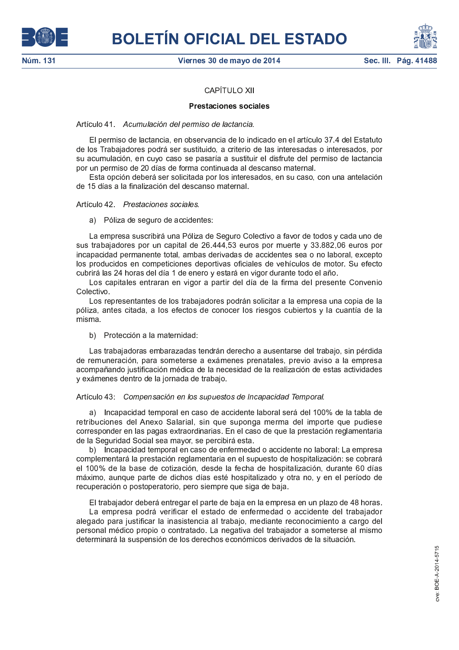



# **CAPÍTULO XII**

# **Prestaciones sociales**

### Artículo 41 Acumulación del permiso de lactancia.

El permiso de lactancia, en observancia de lo indicado en el artículo 37.4 del Estatuto de los Trabajadores podrá ser sustituido, a criterio de las interesadas o interesados, por su acumulación, en cuyo caso se pasaría a sustituir el disfrute del permiso de lactancia por un permiso de 20 días de forma continuada al descanso maternal.

Esta opción deberá ser solicitada por los interesados, en su caso, con una antelación de 15 días a la finalización del descanso maternal.

### Artículo 42. Prestaciones sociales.

### a) Póliza de seguro de accidentes:

La empresa suscribirá una Póliza de Seguro Colectivo a favor de todos y cada uno de sus trabajadores por un capital de 26.444,53 euros por muerte y 33.882,06 euros por incapacidad permanente total, ambas derivadas de accidentes sea o no laboral, excepto los producidos en competiciones deportivas oficiales de vehículos de motor. Su efecto cubrirá las 24 horas del día 1 de enero y estará en vigor durante todo el año.

Los capitales entraran en vigor a partir del día de la firma del presente Convenio Colectivo.

Los representantes de los trabajadores podrán solicitar a la empresa una copia de la póliza, antes citada, a los efectos de conocer los riesgos cubiertos y la cuantía de la misma

b) Protección a la maternidad:

Las trabajadoras embarazadas tendrán derecho a ausentarse del trabajo, sin pérdida de remuneración, para someterse a exámenes prenatales, previo aviso a la empresa acompañando justificación médica de la necesidad de la realización de estas actividades y exámenes dentro de la jornada de trabajo.

# Artículo 43: Compensación en los supuestos de Incapacidad Temporal.

a) Incapacidad temporal en caso de accidente laboral será del 100% de la tabla de retribuciones del Anexo Salarial, sin que suponga merma del importe que pudiese corresponder en las pagas extraordinarias. En el caso de que la prestación reglamentaria de la Seguridad Social sea mayor, se percibirá esta.

b) Incapacidad temporal en caso de enfermedad o accidente no laboral: La empresa complementará la prestación reglamentaria en el supuesto de hospitalización: se cobrará el 100% de la base de cotización, desde la fecha de hospitalización, durante 60 días máximo, aunque parte de dichos días esté hospitalizado y otra no, y en el período de recuperación o postoperatorio, pero siempre que siga de baja.

El trabajador deberá entregar el parte de baja en la empresa en un plazo de 48 horas.

La empresa podrá verificar el estado de enfermedad o accidente del trabajador alegado para justificar la inasistencia al trabajo, mediante reconocimiento a cargo del personal médico propio o contratado. La negativa del trabajador a someterse al mismo determinará la suspensión de los derechos económicos derivados de la situación.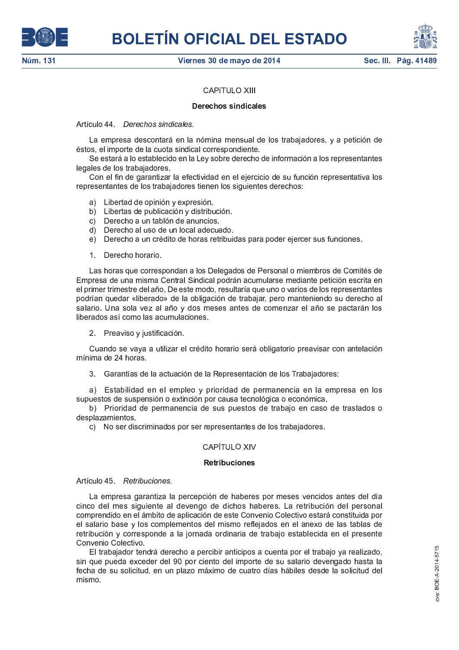



# **CAPITULO XIII**

# **Derechos sindicales**

# Artículo 44 Derechos sindicales.

La empresa descontará en la nómina mensual de los trabajadores, y a petición de éstos, el importe de la cuota sindical correspondiente.

Se estará a lo establecido en la Ley sobre derecho de información a los representantes legales de los trabajadores.

Con el fin de garantizar la efectividad en el ejercicio de su función representativa los representantes de los trabajadores tienen los siguientes derechos:

- a) Libertad de opinión y expresión.
- b) Libertas de publicación y distribución.
- c) Derecho a un tablón de anuncios.
- d) Derecho al uso de un local adecuado.
- e) Derecho a un crédito de horas retribuidas para poder ejercer sus funciones.
- 1 Derecho horario

Las horas que correspondan a los Delegados de Personal o miembros de Comités de Empresa de una misma Central Sindical podrán acumularse mediante petición escrita en el primer trimestre del año. De este modo, resultaría que uno o varios de los representantes podrían quedar «liberado» de la obligación de trabajar, pero manteniendo su derecho al salario. Una sola vez al año y dos meses antes de comenzar el año se pactarán los liberados así como las acumulaciones.

2 Preaviso y justificación.

Cuando se vaya a utilizar el crédito horario será obligatorio preavisar con antelación mínima de 24 horas.

3. Garantías de la actuación de la Representación de los Trabajadores:

a) Estabilidad en el empleo y prioridad de permanencia en la empresa en los supuestos de suspensión o extinción por causa tecnológica o económica.

b) Prioridad de permanencia de sus puestos de trabajo en caso de traslados o desplazamientos

c) No ser discriminados por ser representantes de los trabajadores.

# CAPÍTULO XIV

### **Retribuciones**

Artículo 45. Retribuciones.

La empresa garantiza la percepción de haberes por meses vencidos antes del día cinco del mes siguiente al devengo de dichos haberes. La retribución del personal comprendido en el ámbito de aplicación de este Convenio Colectivo estará constituida por el salario base y los complementos del mismo reflejados en el anexo de las tablas de retribución y corresponde a la jornada ordinaria de trabajo establecida en el presente Convenio Colectivo

El trabajador tendrá derecho a percibir anticipos a cuenta por el trabajo ya realizado, sin que pueda exceder del 90 por ciento del importe de su salario devengado hasta la fecha de su solicitud, en un plazo máximo de cuatro días hábiles desde la solicitud del mismo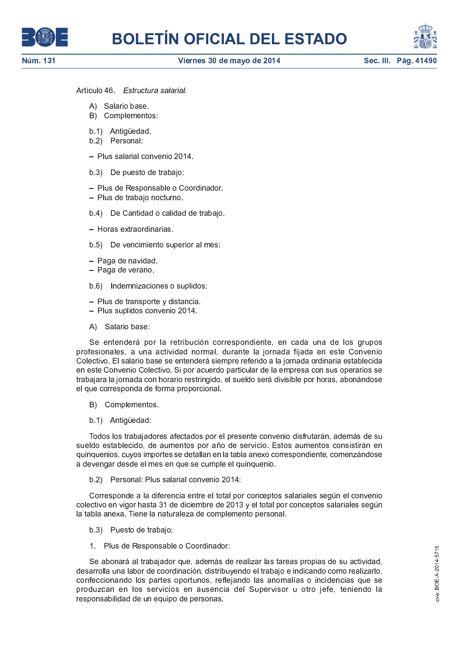



Artículo 46. Estructura salarial.

- A) Salario base
- B) Complementos:
- b 1) Antiquedad
- b.2) Personal:
- Plus salarial convenio 2014.
- b 3) De puesto de trabajo:
- Plus de Responsable o Coordinador.
- Plus de trabajo nocturno.
- b 4) De Cantidad o calidad de trabajo.
- Horas extraordinarias
- b.5) De vencimiento superior al mes:
- Paga de navidad.
- Paga de verano.
- b.6) Indemnizaciones o suplidos:
- Plus de transporte y distancia.
- Plus suplidos convenio 2014.
- A) Salario base:

Se entenderá por la retribución correspondiente, en cada una de los grupos profesionales, a una actividad normal, durante la jornada fijada en este Convenio Colectivo. El salario base se entenderá siempre referido a la jornada ordinaria establecida en este Convenio Colectivo. Si por acuerdo particular de la empresa con sus operarios se trabajara la jornada con horario restringido, el sueldo será divisible por horas, abonándose el que corresponda de forma proporcional.

- B) Complementos
- b.1) Antiquedad:

Todos los trabajadores afectados por el presente convenio disfrutarán, además de su sueldo establecido, de aumentos por año de servicio. Estos aumentos consistirán en quinquenios, cuyos importes se detallan en la tabla anexo correspondiente, comenzándose a devengar desde el mes en que se cumple el quinquenio.

b 2) Personal: Plus salarial convenio 2014:

Corresponde a la diferencia entre el total por conceptos salariales según el convenio colectivo en vigor hasta 31 de diciembre de 2013 y el total por conceptos salariales según la tabla anexa. Tiene la naturaleza de complemento personal.

- b 3) Puesto de trabajo:
- 1. Plus de Responsable o Coordinador:

Se abonará al trabajador que, además de realizar las tareas propias de su actividad, desarrolla una labor de coordinación, distribuyendo el trabajo e indicando como realizarlo, confeccionando los partes oportunos, reflejando las anomalías o incidencias que se produzcan en los servicios en ausencia del Supervisor u otro jefe, teniendo la responsabilidad de un equipo de personas.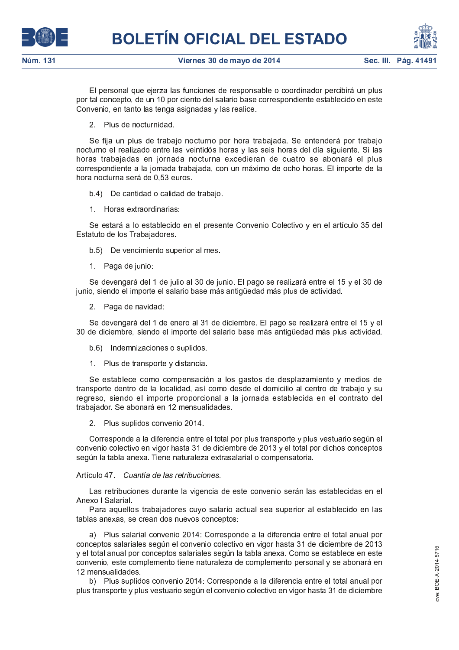



El personal que ejerza las funciones de responsable o coordinador percibirá un plus por tal concepto, de un 10 por ciento del salario base correspondiente establecido en este Convenio, en tanto las tenga asignadas y las realice.

2 Plus de nocturnidad.

Se fija un plus de trabajo nocturno por hora trabajada. Se entenderá por trabajo nocturno el realizado entre las veintidós horas y las seis horas del día siguiente. Si las horas trabajadas en jornada nocturna excedieran de cuatro se abonará el plus correspondiente a la jornada trabajada, con un máximo de ocho horas. El importe de la hora nocturna será de 0,53 euros.

b.4) De cantidad o calidad de trabaio.

1 Horas extraordinarias:

Se estará a lo establecido en el presente Convenio Colectivo y en el artículo 35 del Estatuto de los Trabajadores.

b 5) De vencimiento superior al mes.

1 Paga de junio:

Se devengará del 1 de julio al 30 de junio. El pago se realizará entre el 15 y el 30 de junio, siendo el importe el salario base más antigüedad más plus de actividad.

2 Paga de navidad:

Se devengará del 1 de enero al 31 de diciembre. El pago se realizará entre el 15 y el 30 de diciembre, siendo el importe del salario base más antigüedad más plus actividad.

b 6) Indemnizaciones o suplidos

1 Plus de transporte y distancia.

Se establece como compensación a los gastos de desplazamiento y medios de transporte dentro de la localidad, así como desde el domicilio al centro de trabajo y su regreso, siendo el importe proporcional a la jornada establecida en el contrato del trabajador. Se abonará en 12 mensualidades.

2 Plus suplidos convenio 2014

Corresponde a la diferencia entre el total por plus transporte y plus vestuario según el convenio colectivo en vigor hasta 31 de diciembre de 2013 y el total por dichos conceptos según la tabla anexa. Tiene naturaleza extrasalarial o compensatoria.

Artículo 47 Cuantía de las retribuciones.

Las retribuciones durante la vigencia de este convenio serán las establecidas en el Anexo I Salarial

Para aquellos trabajadores cuyo salario actual sea superior al establecido en las tablas anexas, se crean dos nuevos conceptos:

a) Plus salarial convenio 2014: Corresponde a la diferencia entre el total anual por conceptos salariales según el convenio colectivo en vigor hasta 31 de diciembre de 2013 y el total anual por conceptos salariales según la tabla anexa. Como se establece en este convenio, este complemento tiene naturaleza de complemento personal y se abonará en 12 mensualidades

b) Plus suplidos convenio 2014: Corresponde a la diferencia entre el total anual por plus transporte y plus vestuario según el convenio colectivo en vigor hasta 31 de diciembre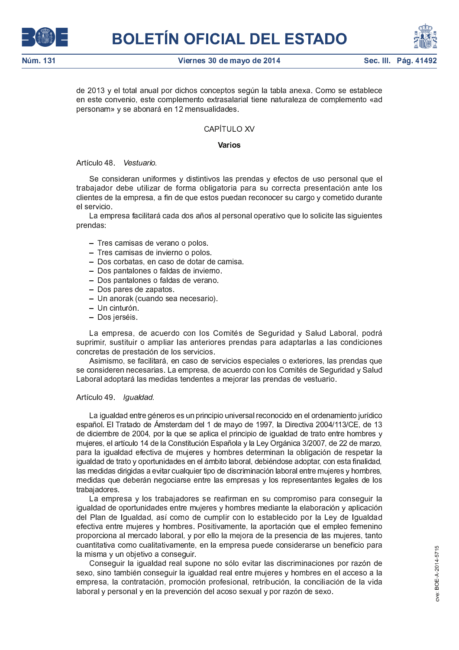





de 2013 y el total anual por dichos conceptos según la tabla anexa. Como se establece en este convenio, este complemento extrasalarial tiene naturaleza de complemento «ad personam» y se abonará en 12 mensualidades.

# CAPÍTULO XV

### Varios

### Artículo 48 Vestuario.

Se consideran uniformes y distintivos las prendas y efectos de uso personal que el trabajador debe utilizar de forma obligatoria para su correcta presentación ante los clientes de la empresa, a fin de que estos puedan reconocer su cargo y cometido durante el servicio.

La empresa facilitará cada dos años al personal operativo que lo solicite las siguientes prendas:

- Tres camisas de verano o polos.
- Tres camisas de invierno o polos.
- Dos corbatas, en caso de dotar de camisa.
- Dos pantalones o faldas de invierno.
- Dos pantalones o faldas de verano.
- Dos pares de zapatos.
- Un anorak (cuando sea necesario).
- Un cinturón
- Dos ierséis

La empresa, de acuerdo con los Comités de Seguridad y Salud Laboral, podrá suprimir, sustituir o ampliar las anteriores prendas para adaptarlas a las condiciones concretas de prestación de los servicios.

Asimismo, se facilitará, en caso de servicios especiales o exteriores, las prendas que se consideren necesarias. La empresa, de acuerdo con los Comités de Seguridad y Salud Laboral adoptará las medidas tendentes a mejorar las prendas de vestuario.

# Artículo 49. Igualdad.

La igualdad entre géneros es un principio universal reconocido en el ordenamiento jurídico español. El Tratado de Ámsterdam del 1 de mayo de 1997, la Directiva 2004/113/CE, de 13 de diciembre de 2004, por la que se aplica el principio de igualdad de trato entre hombres y mujeres, el artículo 14 de la Constitución Española y la Ley Orgánica 3/2007, de 22 de marzo, para la igualdad efectiva de mujeres y hombres determinan la obligación de respetar la igualdad de trato y oportunidades en el ámbito laboral, debiéndose adoptar, con esta finalidad, las medidas dirigidas a evitar cualquier tipo de discriminación laboral entre mujeres y hombres, medidas que deberán negociarse entre las empresas y los representantes legales de los trabajadores

La empresa y los trabajadores se reafirman en su compromiso para conseguir la igualdad de oportunidades entre mujeres y hombres mediante la elaboración y aplicación del Plan de Igualdad, así como de cumplir con lo establecido por la Ley de Igualdad efectiva entre mujeres y hombres. Positivamente, la aportación que el empleo femenino proporciona al mercado laboral, y por ello la mejora de la presencia de las mujeres, tanto cuantitativa como cualitativamente, en la empresa puede considerarse un beneficio para la misma y un objetivo a conseguir.

Conseguir la igualdad real supone no sólo evitar las discriminaciones por razón de sexo, sino también conseguir la igualdad real entre mujeres y hombres en el acceso a la empresa, la contratación, promoción profesional, retribución, la conciliación de la vida laboral y personal y en la prevención del acoso sexual y por razón de sexo.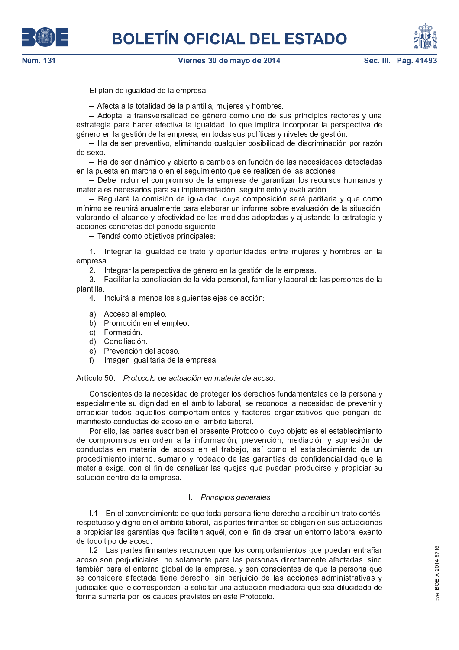

El plan de igualdad de la empresa:

- Afecta a la totalidad de la plantilla, mujeres y hombres.

- Adopta la transversalidad de género como uno de sus principios rectores y una estrategia para hacer efectiva la igualdad, lo que implica incorporar la perspectiva de género en la gestión de la empresa, en todas sus políticas y niveles de gestión.

- Ha de ser preventivo, eliminando cualquier posibilidad de discriminación por razón de sexo.

- Ha de ser dinámico y abierto a cambios en función de las necesidades detectadas en la puesta en marcha o en el seguimiento que se realicen de las acciones

- Debe incluir el compromiso de la empresa de garantizar los recursos humanos y materiales necesarios para su implementación, seguimiento y evaluación.

- Regulará la comisión de igualdad, cuya composición será paritaria y que como mínimo se reunirá anualmente para elaborar un informe sobre evaluación de la situación, valorando el alcance y efectividad de las medidas adoptadas y ajustando la estrategia y acciones concretas del periodo siguiente.

- Tendrá como objetivos principales:

1. Integrar la igualdad de trato y oportunidades entre mujeres y hombres en la empresa.

2. Integrar la perspectiva de género en la gestión de la empresa.

3. Facilitar la conciliación de la vida personal, familiar y laboral de las personas de la plantilla.

4 Incluirá al menos los siguientes ejes de acción:

- a) Acceso al empleo
- b) Promoción en el empleo.
- c) Formación.
- d) Conciliación
- e) Prevención del acoso.
- Imagen igualitaria de la empresa.  $f$

Artículo 50 Protocolo de actuación en materia de acoso.

Conscientes de la necesidad de proteger los derechos fundamentales de la persona y especialmente su dignidad en el ámbito laboral, se reconoce la necesidad de prevenir y erradicar todos aquellos comportamientos y factores organizativos que pongan de manifiesto conductas de acoso en el ámbito laboral.

Por ello, las partes suscriben el presente Protocolo, cuyo objeto es el establecimiento de compromisos en orden a la información, prevención, mediación y supresión de conductas en materia de acoso en el trabajo, así como el establecimiento de un procedimiento interno, sumario y rodeado de las garantías de confidencialidad que la materia exige, con el fin de canalizar las quejas que puedan producirse y propiciar su solución dentro de la empresa.

### 1. Principios generales

1.1 En el convencimiento de que toda persona tiene derecho a recibir un trato cortés, respetuoso y digno en el ámbito laboral, las partes firmantes se obligan en sus actuaciones a propiciar las garantías que faciliten aquél, con el fin de crear un entorno laboral exento de todo tipo de acoso

1.2 Las partes firmantes reconocen que los comportamientos que puedan entrañar acoso son perjudiciales, no solamente para las personas directamente afectadas, sino también para el entorno global de la empresa, y son conscientes de que la persona que se considere afectada tiene derecho, sin perjuicio de las acciones administrativas y judiciales que le correspondan, a solicitar una actuación mediadora que sea dilucidada de forma sumaria por los cauces previstos en este Protocolo.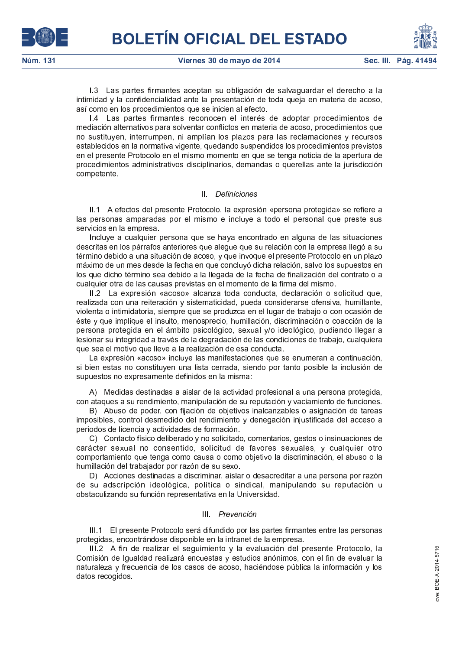Sec. III. Pág. 41494

1.3 Las partes firmantes aceptan su obligación de salvaguardar el derecho a la intimidad y la confidencialidad ante la presentación de toda queja en materia de acoso, así como en los procedimientos que se inicien al efecto.

1.4 Las partes firmantes reconocen el interés de adoptar procedimientos de mediación alternativos para solventar conflictos en materia de acoso, procedimientos que no sustituyen, interrumpen, ni amplían los plazos para las reclamaciones y recursos establecidos en la normativa vigente, quedando suspendidos los procedimientos previstos en el presente Protocolo en el mismo momento en que se tenga noticia de la apertura de procedimientos administrativos disciplinarios, demandas o querellas ante la jurisdicción competente.

# II Definiciones

II.1 A efectos del presente Protocolo, la expresión «persona protegida» se refiere a las personas amparadas por el mismo e incluye a todo el personal que preste sus servicios en la empresa.

Incluye a cualquier persona que se haya encontrado en alguna de las situaciones descritas en los párrafos anteriores que alegue que su relación con la empresa llegó a su término debido a una situación de acoso, y que invoque el presente Protocolo en un plazo máximo de un mes desde la fecha en que concluyó dicha relación, salvo los supuestos en los que dicho término sea debido a la llegada de la fecha de finalización del contrato o a cualquier otra de las causas previstas en el momento de la firma del mismo.

II.2 La expresión «acoso» alcanza toda conducta, declaración o solicitud que, realizada con una reiteración y sistematicidad, pueda considerarse ofensiva, humillante, violenta o intimidatoria, siempre que se produzca en el lugar de trabajo o con ocasión de éste y que implique el insulto, menosprecio, humillación, discriminación o coacción de la persona protegida en el ámbito psicológico, sexual y/o ideológico, pudiendo llegar a lesionar su integridad a través de la degradación de las condiciones de trabajo, cualquiera que sea el motivo que lleve a la realización de esa conducta.

La expresión «acoso» incluye las manifestaciones que se enumeran a continuación, si bien estas no constituyen una lista cerrada, siendo por tanto posible la inclusión de supuestos no expresamente definidos en la misma:

A) Medidas destinadas a aislar de la actividad profesional a una persona protegida, con ataques a su rendimiento, manipulación de su reputación y vaciamiento de funciones.

B) Abuso de poder, con fijación de objetivos inalcanzables o asignación de tareas imposibles, control desmedido del rendimiento y denegación injustificada del acceso a periodos de licencia y actividades de formación.

C) Contacto físico deliberado y no solicitado, comentarios, gestos o insinuaciones de carácter sexual no consentido, solicitud de favores sexuales, y cualquier otro comportamiento que tenga como causa o como objetivo la discriminación, el abuso o la humillación del trabajador por razón de su sexo.

D) Acciones destinadas a discriminar, aislar o desacreditar a una persona por razón de su adscripción ideológica, política o sindical, manipulando su reputación u obstaculizando su función representativa en la Universidad.

# III. Prevención

 $III.1 -$ El presente Protocolo será difundido por las partes firmantes entre las personas protegidas, encontrándose disponible en la intranet de la empresa.

III.2 A fin de realizar el seguimiento y la evaluación del presente Protocolo, la Comisión de Igualdad realizará encuestas y estudios anónimos, con el fin de evaluar la naturaleza y frecuencia de los casos de acoso, haciéndose pública la información y los datos recogidos

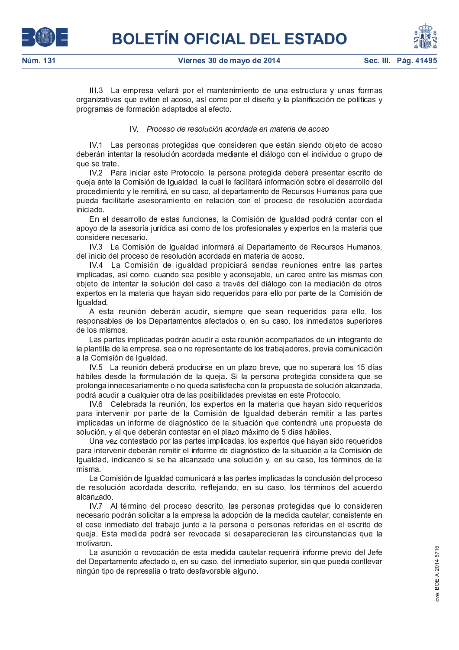

III.3 La empresa velará por el mantenimiento de una estructura y unas formas organizativas que eviten el acoso, así como por el diseño y la planificación de políticas y programas de formación adaptados al efecto.

# IV. Proceso de resolución acordada en materia de acoso

Las personas protegidas que consideren que están siendo objeto de acoso **IV 1** deberán intentar la resolución acordada mediante el diálogo con el individuo o grupo de que se trate.

IV.2 Para iniciar este Protocolo, la persona protegida deberá presentar escrito de queja ante la Comisión de Igualdad, la cual le facilitará información sobre el desarrollo del procedimiento y le remitirá, en su caso, al departamento de Recursos Humanos para que pueda facilitarle asesoramiento en relación con el proceso de resolución acordada iniciado

En el desarrollo de estas funciones, la Comisión de Igualdad podrá contar con el apoyo de la asesoría jurídica así como de los profesionales y expertos en la materia que considere necesario.

IV.3 La Comisión de Igualdad informará al Departamento de Recursos Humanos, del inicio del proceso de resolución acordada en materia de acoso.

IV.4 La Comisión de igualdad propiciará sendas reuniones entre las partes implicadas, así como, cuando sea posible y aconsejable, un careo entre las mismas con objeto de intentar la solución del caso a través del diálogo con la mediación de otros expertos en la materia que hayan sido requeridos para ello por parte de la Comisión de Igualdad

A esta reunión deberán acudir, siempre que sean requeridos para ello, los responsables de los Departamentos afectados o, en su caso, los inmediatos superiores de los mismos

Las partes implicadas podrán acudir a esta reunión acompañados de un integrante de la plantilla de la empresa, sea o no representante de los trabajadores, previa comunicación a la Comisión de Igualdad.

IV.5 La reunión deberá producirse en un plazo breve, que no superará los 15 días hábiles desde la formulación de la queja. Si la persona protegida considera que se prolonga innecesariamente o no queda satisfecha con la propuesta de solución alcanzada, podrá acudir a cualquier otra de las posibilidades previstas en este Protocolo.

IV.6 Celebrada la reunión, los expertos en la materia que hayan sido requeridos para intervenir por parte de la Comisión de Igualdad deberán remitir a las partes implicadas un informe de diagnóstico de la situación que contendrá una propuesta de solución, y al que deberán contestar en el plazo máximo de 5 días hábiles.

Una vez contestado por las partes implicadas, los expertos que hayan sido requeridos para intervenir deberán remitir el informe de diagnóstico de la situación a la Comisión de Igualdad, indicando si se ha alcanzado una solución y, en su caso, los términos de la misma.

La Comisión de Igualdad comunicará a las partes implicadas la conclusión del proceso de resolución acordada descrito, reflejando, en su caso, los términos del acuerdo alcanzado.

IV.7 Al término del proceso descrito, las personas protegidas que lo consideren necesario podrán solicitar a la empresa la adopción de la medida cautelar, consistente en el cese inmediato del trabajo junto a la persona o personas referidas en el escrito de queja. Esta medida podrá ser revocada si desaparecieran las circunstancias que la motivaron.

La asunción o revocación de esta medida cautelar requerirá informe previo del Jefe del Departamento afectado o, en su caso, del inmediato superior, sin que pueda conllevar ningún tipo de represalia o trato desfavorable alguno.

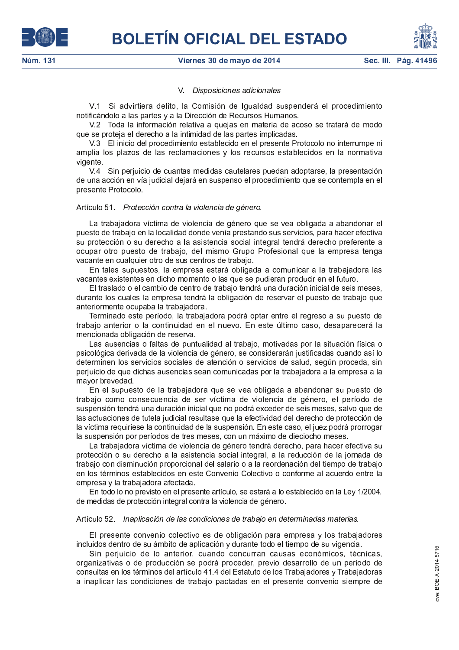

# Viernes 30 de mayo de 2014



#### Disposiciones adicionales V.

V.1 Si advirtiera delito, la Comisión de Igualdad suspenderá el procedimiento notificándolo a las partes y a la Dirección de Recursos Humanos.

V.2 Toda la información relativa a quejas en materia de acoso se tratará de modo que se proteja el derecho a la intimidad de las partes implicadas.

V.3 El inicio del procedimiento establecido en el presente Protocolo no interrumpe ni amplia los plazos de las reclamaciones y los recursos establecidos en la normativa vigente

V.4 Sin perjuicio de cuantas medidas cautelares puedan adoptarse, la presentación de una acción en vía judicial dejará en suspenso el procedimiento que se contempla en el presente Protocolo.

### Artículo 51 Protección contra la violencia de género.

La trabajadora víctima de violencia de género que se vea obligada a abandonar el puesto de trabajo en la localidad donde venía prestando sus servicios, para hacer efectiva su protección o su derecho a la asistencia social integral tendrá derecho preferente a ocupar otro puesto de trabajo, del mismo Grupo Profesional que la empresa tenga vacante en cualquier otro de sus centros de trabajo.

En tales supuestos, la empresa estará obligada a comunicar a la trabajadora las vacantes existentes en dicho momento o las que se pudieran producir en el futuro.

El traslado o el cambio de centro de trabajo tendrá una duración inicial de seis meses, durante los cuales la empresa tendrá la obligación de reservar el puesto de trabajo que anteriormente ocupaba la trabajadora.

Terminado este período, la trabajadora podrá optar entre el regreso a su puesto de trabajo anterior o la continuidad en el nuevo. En este último caso, desaparecerá la mencionada obligación de reserva.

Las ausencias o faltas de puntualidad al trabajo, motivadas por la situación física o psicológica derivada de la violencia de género, se considerarán justificadas cuando así lo determinen los servicios sociales de atención o servicios de salud, según proceda, sin perjuicio de que dichas ausencias sean comunicadas por la trabajadora a la empresa a la mavor brevedad.

En el supuesto de la trabajadora que se vea obligada a abandonar su puesto de trabajo como consecuencia de ser víctima de violencia de género, el período de suspensión tendrá una duración inicial que no podrá exceder de seis meses, salvo que de las actuaciones de tutela judicial resultase que la efectividad del derecho de protección de la víctima requiriese la continuidad de la suspensión. En este caso, el juez podrá prorrogar la suspensión por períodos de tres meses, con un máximo de dieciocho meses.

La trabajadora víctima de violencia de género tendrá derecho, para hacer efectiva su protección o su derecho a la asistencia social integral, a la reducción de la jornada de trabajo con disminución proporcional del salario o a la reordenación del tiempo de trabajo en los términos establecidos en este Convenio Colectivo o conforme al acuerdo entre la empresa y la trabajadora afectada.

En todo lo no previsto en el presente artículo, se estará a lo establecido en la Ley 1/2004, de medidas de protección integral contra la violencia de género.

#### Artículo 52. Inaplicación de las condiciones de trabajo en determinadas materias.

El presente convenio colectivo es de obligación para empresa y los trabajadores incluidos dentro de su ámbito de aplicación y durante todo el tiempo de su vigencia.

Sin perjuicio de lo anterior, cuando concurran causas económicos, técnicas, organizativas o de producción se podrá proceder, previo desarrollo de un periodo de consultas en los términos del artículo 41.4 del Estatuto de los Trabajadores y Trabajadoras a inaplicar las condiciones de trabajo pactadas en el presente convenio siempre de